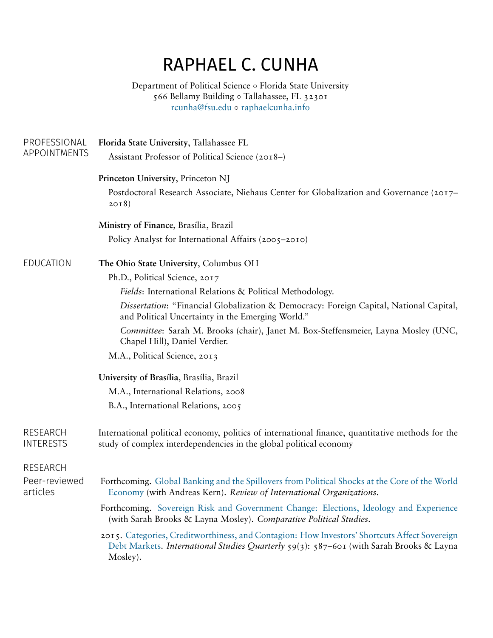## RAPHAEL C. CUNHA

Department of Political Science *◦* Florida State University 566 Bellamy Building *◦* Tallahassee, FL 32301 [rcunha@fsu.edu](mailto:rcunha@fsu.edu) *◦* [raphaelcunha.info](http://raphaelcunha.info)

| PROFESSIONAL                 | Florida State University, Tallahassee FL                                                                                                                                                            |  |  |
|------------------------------|-----------------------------------------------------------------------------------------------------------------------------------------------------------------------------------------------------|--|--|
| APPOINTMENTS                 | Assistant Professor of Political Science (2018–)                                                                                                                                                    |  |  |
|                              | Princeton University, Princeton NJ                                                                                                                                                                  |  |  |
|                              | Postdoctoral Research Associate, Niehaus Center for Globalization and Governance (2017–<br>2018)                                                                                                    |  |  |
|                              | Ministry of Finance, Brasília, Brazil                                                                                                                                                               |  |  |
|                              | Policy Analyst for International Affairs (2005–2010)                                                                                                                                                |  |  |
| EDUCATION                    | The Ohio State University, Columbus OH                                                                                                                                                              |  |  |
|                              | Ph.D., Political Science, 2017                                                                                                                                                                      |  |  |
|                              | Fields: International Relations & Political Methodology.                                                                                                                                            |  |  |
|                              | Dissertation: "Financial Globalization & Democracy: Foreign Capital, National Capital,<br>and Political Uncertainty in the Emerging World."                                                         |  |  |
|                              | Committee: Sarah M. Brooks (chair), Janet M. Box-Steffensmeier, Layna Mosley (UNC,<br>Chapel Hill), Daniel Verdier.                                                                                 |  |  |
|                              | M.A., Political Science, 2013                                                                                                                                                                       |  |  |
|                              | University of Brasília, Brasília, Brazil                                                                                                                                                            |  |  |
|                              | M.A., International Relations, 2008                                                                                                                                                                 |  |  |
|                              | B.A., International Relations, 2005                                                                                                                                                                 |  |  |
| RESEARCH<br><b>INTERESTS</b> | International political economy, politics of international finance, quantitative methods for the<br>study of complex interdependencies in the global political economy                              |  |  |
| <b>RESEARCH</b>              |                                                                                                                                                                                                     |  |  |
| Peer-reviewed<br>articles    | Forthcoming. Global Banking and the Spillovers from Political Shocks at the Core of the World<br>Economy (with Andreas Kern). Review of International Organizations.                                |  |  |
|                              | Forthcoming. Sovereign Risk and Government Change: Elections, Ideology and Experience<br>(with Sarah Brooks & Layna Mosley). Comparative Political Studies.                                         |  |  |
|                              | 2015. Categories, Creditworthiness, and Contagion: How Investors' Shortcuts Affect Sovereign<br>Debt Markets. International Studies Quarterly 59(3): 587-601 (with Sarah Brooks & Layna<br>Mosley). |  |  |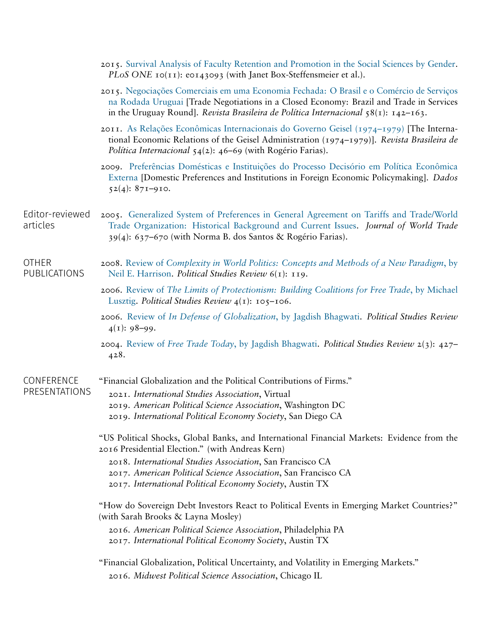|                              | 2015. Survival Analysis of Faculty Retention and Promotion in the Social Sciences by Gender.<br>PLoS ONE 10(11): e0143093 (with Janet Box-Steffensmeier et al.).                                                                                                             |
|------------------------------|------------------------------------------------------------------------------------------------------------------------------------------------------------------------------------------------------------------------------------------------------------------------------|
|                              | 2015. Negociações Comerciais em uma Economia Fechada: O Brasil e o Comércio de Serviços<br>na Rodada Uruguai [Trade Negotiations in a Closed Economy: Brazil and Trade in Services<br>in the Uruguay Round]. Revista Brasileira de Política Internacional $\{8(1): 142-163.$ |
|                              | 2011. As Relações Econômicas Internacionais do Governo Geisel (1974–1979) [The Interna-<br>tional Economic Relations of the Geisel Administration (1974–1979)]. Revista Brasileira de<br>Política Internacional $54(2)$ : 46–69 (with Rogério Farias).                       |
|                              | 2009. Preferências Domésticas e Instituições do Processo Decisório em Política Econômica<br>Externa [Domestic Preferences and Institutions in Foreign Economic Policymaking]. Dados<br>$52(4): 87I - 9I0.$                                                                   |
| Editor-reviewed<br>articles  | 2005. Generalized System of Preferences in General Agreement on Tariffs and Trade/World<br>Trade Organization: Historical Background and Current Issues. Journal of World Trade<br>39(4): 637–670 (with Norma B. dos Santos & Rogério Farias).                               |
| <b>OTHER</b><br>PUBLICATIONS | 2008. Review of Complexity in World Politics: Concepts and Methods of a New Paradigm, by<br>Neil E. Harrison. Political Studies Review 6(1): 119.                                                                                                                            |
|                              | 2006. Review of The Limits of Protectionism: Building Coalitions for Free Trade, by Michael<br>Lusztig. Political Studies Review $4(1)$ : 105–106.                                                                                                                           |
|                              | 2006. Review of In Defense of Globalization, by Jagdish Bhagwati. Political Studies Review<br>$4(1): 98-99.$                                                                                                                                                                 |
|                              | 2004. Review of Free Trade Today, by Jagdish Bhagwati. Political Studies Review $2(3)$ : 427–<br>428.                                                                                                                                                                        |
| CONFERENCE<br>PRESENTATIONS  | "Financial Globalization and the Political Contributions of Firms."                                                                                                                                                                                                          |
|                              | 2021. International Studies Association, Virtual<br>2019. American Political Science Association, Washington DC<br>2019. International Political Economy Society, San Diego CA                                                                                               |
|                              | "US Political Shocks, Global Banks, and International Financial Markets: Evidence from the<br>2016 Presidential Election." (with Andreas Kern)                                                                                                                               |
|                              | 2018. International Studies Association, San Francisco CA<br>2017. American Political Science Association, San Francisco CA<br>2017. International Political Economy Society, Austin TX                                                                                      |
|                              | "How do Sovereign Debt Investors React to Political Events in Emerging Market Countries?"<br>(with Sarah Brooks & Layna Mosley)                                                                                                                                              |
|                              | 2016. American Political Science Association, Philadelphia PA<br>2017. International Political Economy Society, Austin TX                                                                                                                                                    |
|                              | "Financial Globalization, Political Uncertainty, and Volatility in Emerging Markets."                                                                                                                                                                                        |
|                              | 2016. Midwest Political Science Association, Chicago IL                                                                                                                                                                                                                      |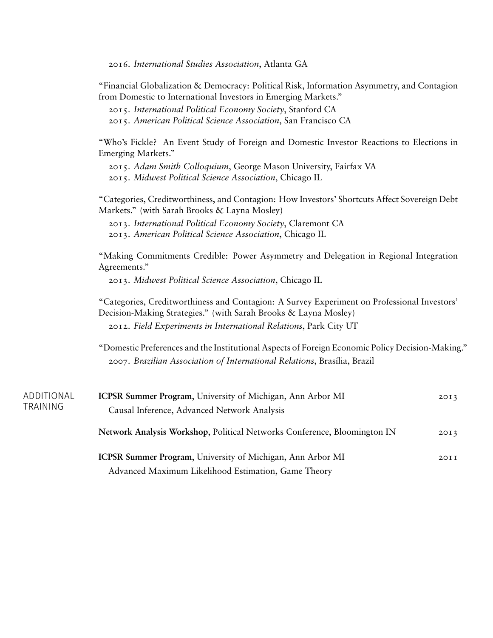2016. *International Studies Association*, Atlanta GA

"Financial Globalization & Democracy: Political Risk, Information Asymmetry, and Contagion from Domestic to International Investors in Emerging Markets."

2015. *International Political Economy Society*, Stanford CA 2015. *American Political Science Association*, San Francisco CA

"Who's Fickle? An Event Study of Foreign and Domestic Investor Reactions to Elections in Emerging Markets."

2015. *Adam Smith Colloquium*, George Mason University, Fairfax VA 2015. *Midwest Political Science Association*, Chicago IL

"Categories, Creditworthiness, and Contagion: How Investors' Shortcuts Affect Sovereign Debt Markets." (with Sarah Brooks & Layna Mosley)

2013. *International Political Economy Society*, Claremont CA 2013. *American Political Science Association*, Chicago IL

"Making Commitments Credible: Power Asymmetry and Delegation in Regional Integration Agreements."

2013. *Midwest Political Science Association*, Chicago IL

"Categories, Creditworthiness and Contagion: A Survey Experiment on Professional Investors' Decision-Making Strategies." (with Sarah Brooks & Layna Mosley) 2012. *Field Experiments in International Relations*, Park City UT

"Domestic Preferences and the Institutional Aspects of Foreign Economic Policy Decision-Making." 2007. *Brazilian Association of International Relations*, Brasília, Brazil

| ADDITIONAL<br>TRAINING | <b>ICPSR Summer Program, University of Michigan, Ann Arbor MI</b><br>Causal Inference, Advanced Network Analysis | 20I3             |
|------------------------|------------------------------------------------------------------------------------------------------------------|------------------|
|                        | Network Analysis Workshop, Political Networks Conference, Bloomington IN                                         | 20I3             |
|                        | <b>ICPSR Summer Program, University of Michigan, Ann Arbor MI</b>                                                | 20I <sub>I</sub> |
|                        | Advanced Maximum Likelihood Estimation, Game Theory                                                              |                  |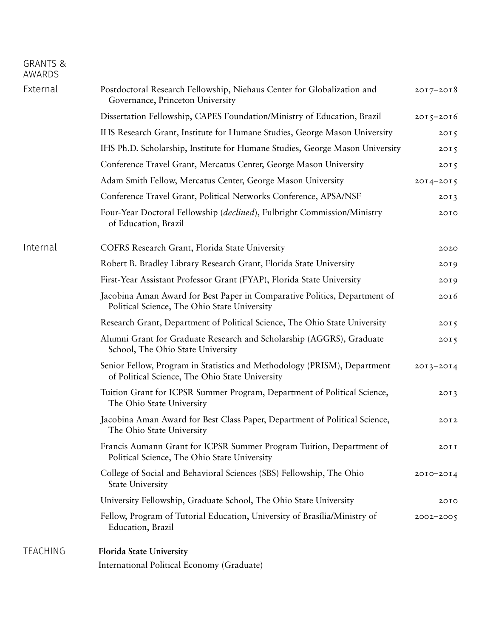## GRANTS & AWARDS

| External | Postdoctoral Research Fellowship, Niehaus Center for Globalization and<br>Governance, Princeton University                  | $2017 - 2018$ |
|----------|-----------------------------------------------------------------------------------------------------------------------------|---------------|
|          | Dissertation Fellowship, CAPES Foundation/Ministry of Education, Brazil                                                     | $2015 - 2016$ |
|          | IHS Research Grant, Institute for Humane Studies, George Mason University                                                   | 2015          |
|          | IHS Ph.D. Scholarship, Institute for Humane Studies, George Mason University                                                | 2015          |
|          | Conference Travel Grant, Mercatus Center, George Mason University                                                           | 2015          |
|          | Adam Smith Fellow, Mercatus Center, George Mason University                                                                 | $2014 - 2015$ |
|          | Conference Travel Grant, Political Networks Conference, APSA/NSF                                                            | 2013          |
|          | Four-Year Doctoral Fellowship (declined), Fulbright Commission/Ministry<br>of Education, Brazil                             | 2010          |
| Internal | COFRS Research Grant, Florida State University                                                                              | 2020          |
|          | Robert B. Bradley Library Research Grant, Florida State University                                                          | 2019          |
|          | First-Year Assistant Professor Grant (FYAP), Florida State University                                                       | 2019          |
|          | Jacobina Aman Award for Best Paper in Comparative Politics, Department of<br>Political Science, The Ohio State University   | 2016          |
|          | Research Grant, Department of Political Science, The Ohio State University                                                  | 2015          |
|          | Alumni Grant for Graduate Research and Scholarship (AGGRS), Graduate<br>School, The Ohio State University                   | 2015          |
|          | Senior Fellow, Program in Statistics and Methodology (PRISM), Department<br>of Political Science, The Ohio State University | $2013 - 2014$ |
|          | Tuition Grant for ICPSR Summer Program, Department of Political Science,<br>The Ohio State University                       | 2013          |
|          | Jacobina Aman Award for Best Class Paper, Department of Political Science,<br>The Ohio State University                     | 20I2          |
|          | Francis Aumann Grant for ICPSR Summer Program Tuition, Department of<br>Political Science, The Ohio State University        | 2011          |
|          | College of Social and Behavioral Sciences (SBS) Fellowship, The Ohio<br><b>State University</b>                             | 2010-2014     |
|          | University Fellowship, Graduate School, The Ohio State University                                                           | 2010          |
|          | Fellow, Program of Tutorial Education, University of Brasília/Ministry of<br>Education, Brazil                              | $2002 - 2005$ |
| TEACHING | <b>Florida State University</b>                                                                                             |               |

International Political Economy (Graduate)